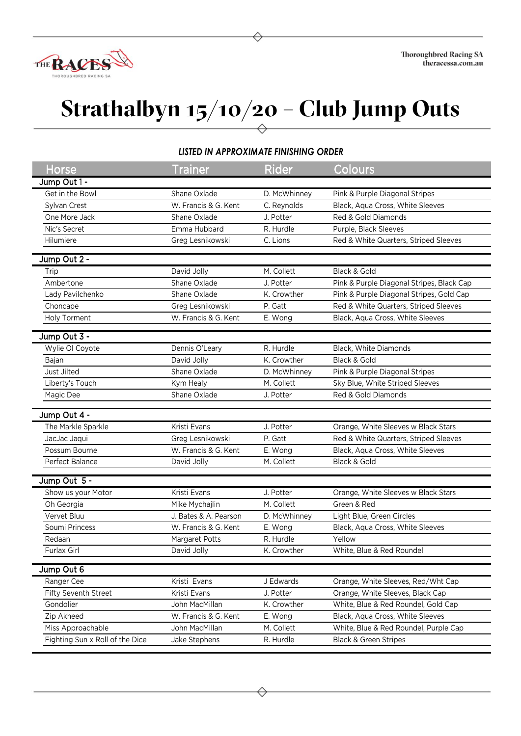

## **Strathalbyn 15/10/20 – Club Jump Outs**

## *LISTED IN APPROXIMATE FINISHING ORDER*

| <b>Horse</b>                    | Trainer               | Rider                | Colours                                   |
|---------------------------------|-----------------------|----------------------|-------------------------------------------|
| Jump Out 1 -                    |                       |                      |                                           |
| Get in the Bowl                 | Shane Oxlade          | D. McWhinney         | Pink & Purple Diagonal Stripes            |
| Sylvan Crest                    | W. Francis & G. Kent  | C. Reynolds          | Black, Aqua Cross, White Sleeves          |
| One More Jack                   | Shane Oxlade          | J. Potter            | Red & Gold Diamonds                       |
| Nic's Secret                    | Emma Hubbard          | R. Hurdle            | Purple, Black Sleeves                     |
| Hilumiere                       | Greg Lesnikowski      | C. Lions             | Red & White Quarters, Striped Sleeves     |
|                                 |                       |                      |                                           |
| Jump Out 2 -                    |                       |                      |                                           |
| Trip                            | David Jolly           | M. Collett           | Black & Gold                              |
| Ambertone                       | Shane Oxlade          | J. Potter            | Pink & Purple Diagonal Stripes, Black Cap |
| Lady Pavilchenko                | Shane Oxlade          | K. Crowther          | Pink & Purple Diagonal Stripes, Gold Cap  |
| Choncape                        | Greg Lesnikowski      | P. Gatt              | Red & White Quarters, Striped Sleeves     |
| Holy Torment                    | W. Francis & G. Kent  | E. Wong              | Black, Aqua Cross, White Sleeves          |
| Jump Out 3 -                    |                       |                      |                                           |
| Wylie OI Coyote                 | Dennis O'Leary        | R. Hurdle            | Black, White Diamonds                     |
| Bajan                           | David Jolly           | K. Crowther          | Black & Gold                              |
| Just Jilted                     | Shane Oxlade          | D. McWhinney         | Pink & Purple Diagonal Stripes            |
| Liberty's Touch                 | Kym Healy             | M. Collett           | Sky Blue, White Striped Sleeves           |
| Magic Dee                       | Shane Oxlade          | J. Potter            | Red & Gold Diamonds                       |
|                                 |                       |                      |                                           |
| Jump Out 4 -                    |                       |                      |                                           |
| The Markle Sparkle              | Kristi Evans          | J. Potter            | Orange, White Sleeves w Black Stars       |
| JacJac Jaqui                    | Greg Lesnikowski      | P. Gatt              | Red & White Quarters, Striped Sleeves     |
| Possum Bourne                   | W. Francis & G. Kent  | E. Wong              | Black, Aqua Cross, White Sleeves          |
| Perfect Balance                 | David Jolly           | M. Collett           | Black & Gold                              |
|                                 |                       |                      |                                           |
| Jump Out 5 -                    |                       |                      |                                           |
| Show us your Motor              | Kristi Evans          | J. Potter            | Orange, White Sleeves w Black Stars       |
| Oh Georgia                      | Mike Mychajlin        | M. Collett           | Green & Red                               |
| Vervet Bluu                     | J. Bates & A. Pearson | D. McWhinney         | Light Blue, Green Circles                 |
| Soumi Princess                  | W. Francis & G. Kent  | E. Wong<br>R. Hurdle | Black, Aqua Cross, White Sleeves          |
| Redaan                          | Margaret Potts        |                      | Yellow                                    |
| Furlax Girl                     | David Jolly           | K. Crowther          | White, Blue & Red Roundel                 |
| Jump Out 6                      |                       |                      |                                           |
| Ranger Cee                      | Kristi Evans          | J Edwards            | Orange, White Sleeves, Red/Wht Cap        |
| Fifty Seventh Street            | Kristi Evans          | J. Potter            | Orange, White Sleeves, Black Cap          |
| Gondolier                       | John MacMillan        | K. Crowther          | White, Blue & Red Roundel, Gold Cap       |
| Zip Akheed                      | W. Francis & G. Kent  | E. Wong              | Black, Aqua Cross, White Sleeves          |
| Miss Approachable               | John MacMillan        | M. Collett           | White, Blue & Red Roundel, Purple Cap     |
| Fighting Sun x Roll of the Dice | Jake Stephens         | R. Hurdle            | <b>Black &amp; Green Stripes</b>          |